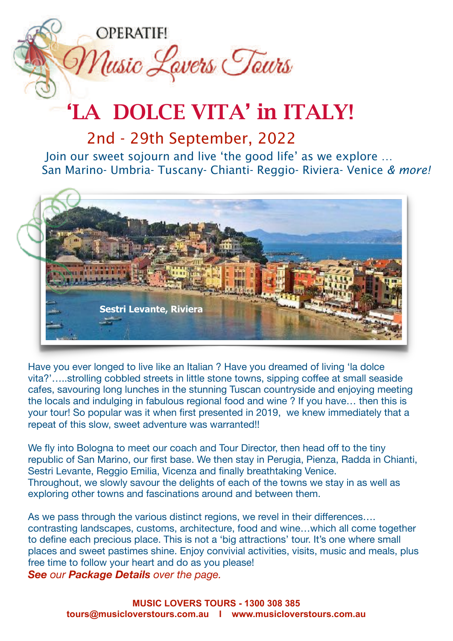

## 'LA DOLCE VITA' in ITALY!

2nd - 29th September, 2022

Join our sweet sojourn and live 'the good life' as we explore … San Marino- Umbria- Tuscany- Chianti- Reggio- Riviera- Venice *& more!*



Have you ever longed to live like an Italian ? Have you dreamed of living 'la dolce vita?'…..strolling cobbled streets in little stone towns, sipping coffee at small seaside cafes, savouring long lunches in the stunning Tuscan countryside and enjoying meeting the locals and indulging in fabulous regional food and wine ? If you have… then this is your tour! So popular was it when first presented in 2019, we knew immediately that a repeat of this slow, sweet adventure was warranted!!

We fly into Bologna to meet our coach and Tour Director, then head off to the tiny republic of San Marino, our first base. We then stay in Perugia, Pienza, Radda in Chianti, Sestri Levante, Reggio Emilia, Vicenza and finally breathtaking Venice. Throughout, we slowly savour the delights of each of the towns we stay in as well as exploring other towns and fascinations around and between them.

As we pass through the various distinct regions, we revel in their differences.... contrasting landscapes, customs, architecture, food and wine…which all come together to define each precious place. This is not a 'big attractions' tour. It's one where small places and sweet pastimes shine. Enjoy convivial activities, visits, music and meals, plus free time to follow your heart and do as you please!

**See** our **Package Details** over the page.